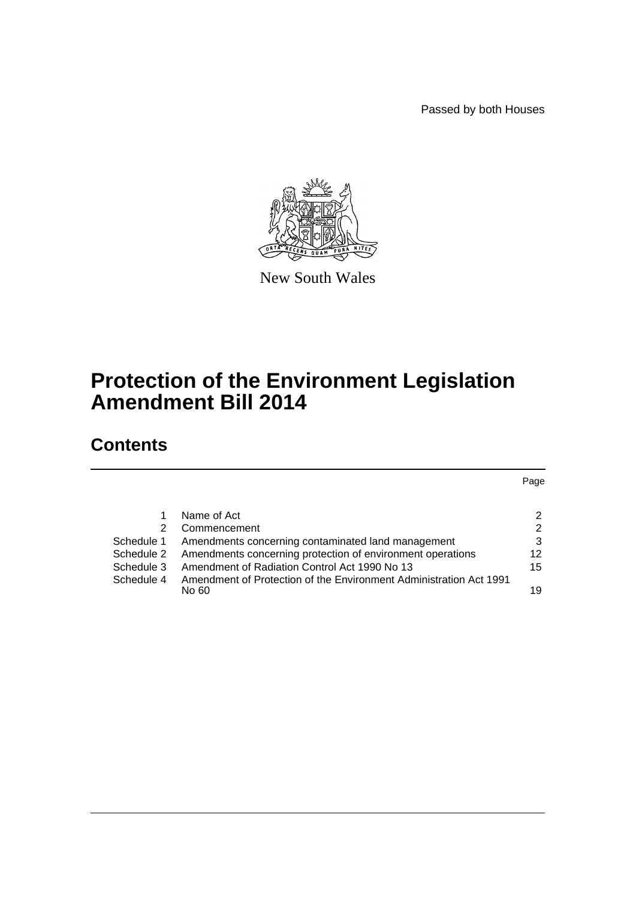Passed by both Houses



New South Wales

# **Protection of the Environment Legislation Amendment Bill 2014**

# **Contents**

Page

|            | Name of Act                                                           | 2             |
|------------|-----------------------------------------------------------------------|---------------|
| 2          | Commencement                                                          | $\mathcal{P}$ |
|            | Schedule 1 Amendments concerning contaminated land management         | 3             |
|            | Schedule 2 Amendments concerning protection of environment operations | 12            |
| Schedule 3 | Amendment of Radiation Control Act 1990 No 13                         | 15            |
| Schedule 4 | Amendment of Protection of the Environment Administration Act 1991    |               |
|            | No 60.                                                                | 19            |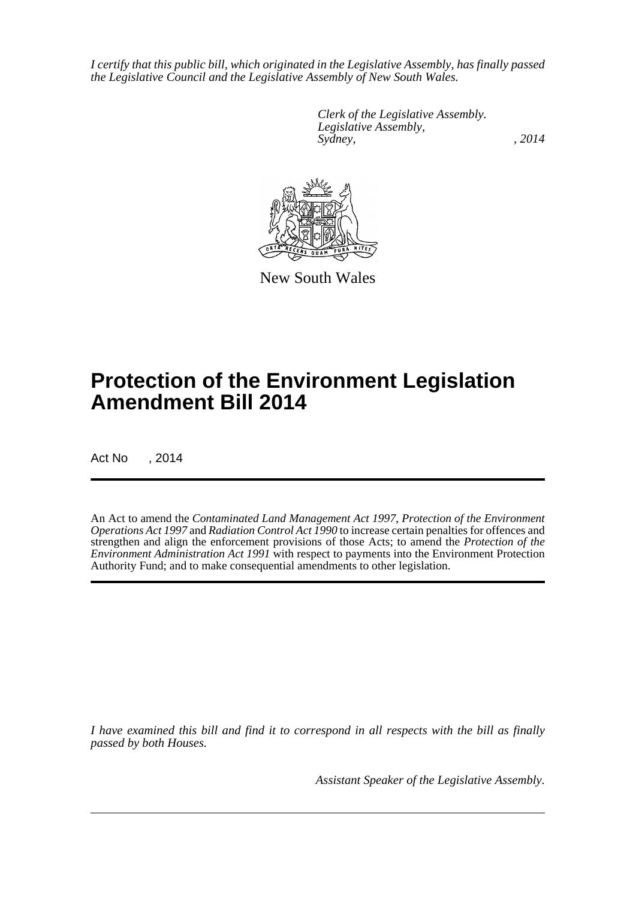*I certify that this public bill, which originated in the Legislative Assembly, has finally passed the Legislative Council and the Legislative Assembly of New South Wales.*

> *Clerk of the Legislative Assembly. Legislative Assembly, Sydney,* , 2014



New South Wales

# **Protection of the Environment Legislation Amendment Bill 2014**

Act No , 2014

An Act to amend the *Contaminated Land Management Act 1997*, *Protection of the Environment Operations Act 1997* and *Radiation Control Act 1990* to increase certain penalties for offences and strengthen and align the enforcement provisions of those Acts; to amend the *Protection of the Environment Administration Act 1991* with respect to payments into the Environment Protection Authority Fund; and to make consequential amendments to other legislation.

*I have examined this bill and find it to correspond in all respects with the bill as finally passed by both Houses.*

*Assistant Speaker of the Legislative Assembly.*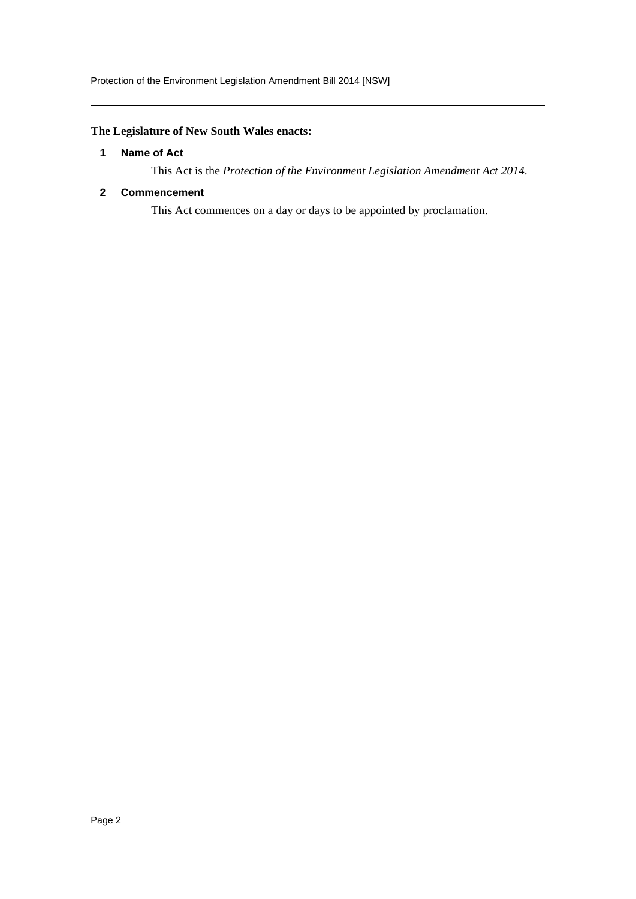### <span id="page-2-0"></span>**The Legislature of New South Wales enacts:**

### **1 Name of Act**

This Act is the *Protection of the Environment Legislation Amendment Act 2014*.

### <span id="page-2-1"></span>**2 Commencement**

This Act commences on a day or days to be appointed by proclamation.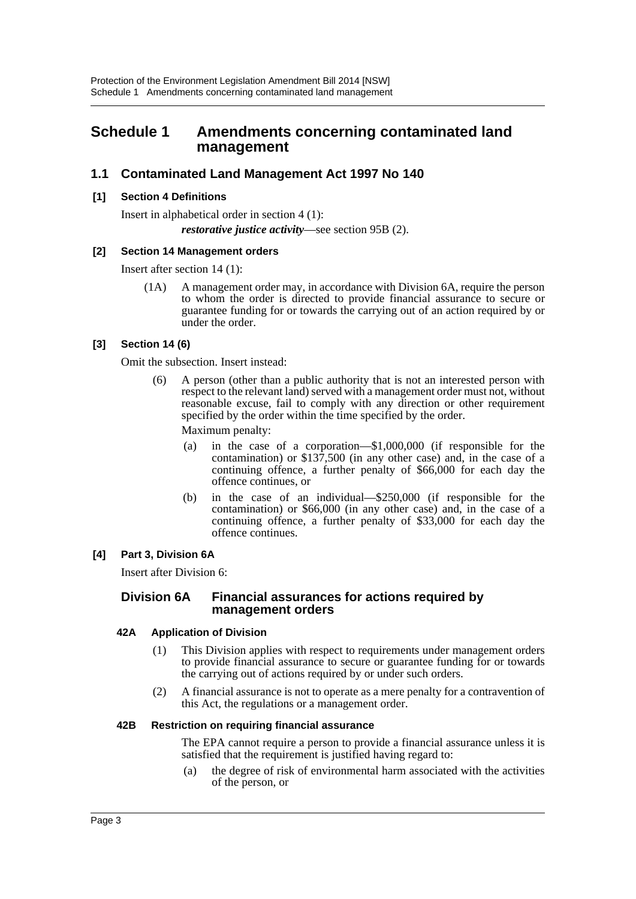## <span id="page-3-0"></span>**Schedule 1 Amendments concerning contaminated land management**

### **1.1 Contaminated Land Management Act 1997 No 140**

### **[1] Section 4 Definitions**

Insert in alphabetical order in section 4 (1): *restorative justice activity*—see section 95B (2).

### **[2] Section 14 Management orders**

Insert after section 14 (1):

(1A) A management order may, in accordance with Division 6A, require the person to whom the order is directed to provide financial assurance to secure or guarantee funding for or towards the carrying out of an action required by or under the order.

### **[3] Section 14 (6)**

Omit the subsection. Insert instead:

(6) A person (other than a public authority that is not an interested person with respect to the relevant land) served with a management order must not, without reasonable excuse, fail to comply with any direction or other requirement specified by the order within the time specified by the order.

Maximum penalty:

- (a) in the case of a corporation—\$1,000,000 (if responsible for the contamination) or \$137,500 (in any other case) and, in the case of a continuing offence, a further penalty of \$66,000 for each day the offence continues, or
- (b) in the case of an individual—\$250,000 (if responsible for the contamination) or \$66,000 (in any other case) and, in the case of a continuing offence, a further penalty of \$33,000 for each day the offence continues.

### **[4] Part 3, Division 6A**

Insert after Division 6:

### **Division 6A Financial assurances for actions required by management orders**

### **42A Application of Division**

- (1) This Division applies with respect to requirements under management orders to provide financial assurance to secure or guarantee funding for or towards the carrying out of actions required by or under such orders.
- (2) A financial assurance is not to operate as a mere penalty for a contravention of this Act, the regulations or a management order.

### **42B Restriction on requiring financial assurance**

The EPA cannot require a person to provide a financial assurance unless it is satisfied that the requirement is justified having regard to:

(a) the degree of risk of environmental harm associated with the activities of the person, or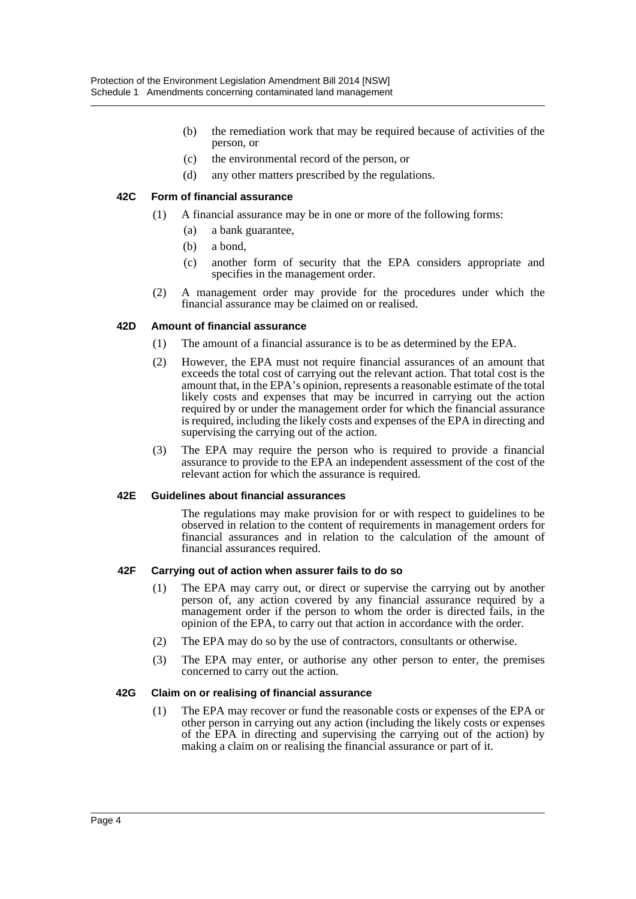- (b) the remediation work that may be required because of activities of the person, or
- (c) the environmental record of the person, or
- (d) any other matters prescribed by the regulations.

### **42C Form of financial assurance**

- (1) A financial assurance may be in one or more of the following forms:
	- (a) a bank guarantee,
	- (b) a bond,
	- (c) another form of security that the EPA considers appropriate and specifies in the management order.
- (2) A management order may provide for the procedures under which the financial assurance may be claimed on or realised.

### **42D Amount of financial assurance**

- (1) The amount of a financial assurance is to be as determined by the EPA.
- (2) However, the EPA must not require financial assurances of an amount that exceeds the total cost of carrying out the relevant action. That total cost is the amount that, in the EPA's opinion, represents a reasonable estimate of the total likely costs and expenses that may be incurred in carrying out the action required by or under the management order for which the financial assurance is required, including the likely costs and expenses of the EPA in directing and supervising the carrying out of the action.
- (3) The EPA may require the person who is required to provide a financial assurance to provide to the EPA an independent assessment of the cost of the relevant action for which the assurance is required.

### **42E Guidelines about financial assurances**

The regulations may make provision for or with respect to guidelines to be observed in relation to the content of requirements in management orders for financial assurances and in relation to the calculation of the amount of financial assurances required.

### **42F Carrying out of action when assurer fails to do so**

- (1) The EPA may carry out, or direct or supervise the carrying out by another person of, any action covered by any financial assurance required by a management order if the person to whom the order is directed fails, in the opinion of the EPA, to carry out that action in accordance with the order.
- (2) The EPA may do so by the use of contractors, consultants or otherwise.
- (3) The EPA may enter, or authorise any other person to enter, the premises concerned to carry out the action.

### **42G Claim on or realising of financial assurance**

(1) The EPA may recover or fund the reasonable costs or expenses of the EPA or other person in carrying out any action (including the likely costs or expenses of the EPA in directing and supervising the carrying out of the action) by making a claim on or realising the financial assurance or part of it.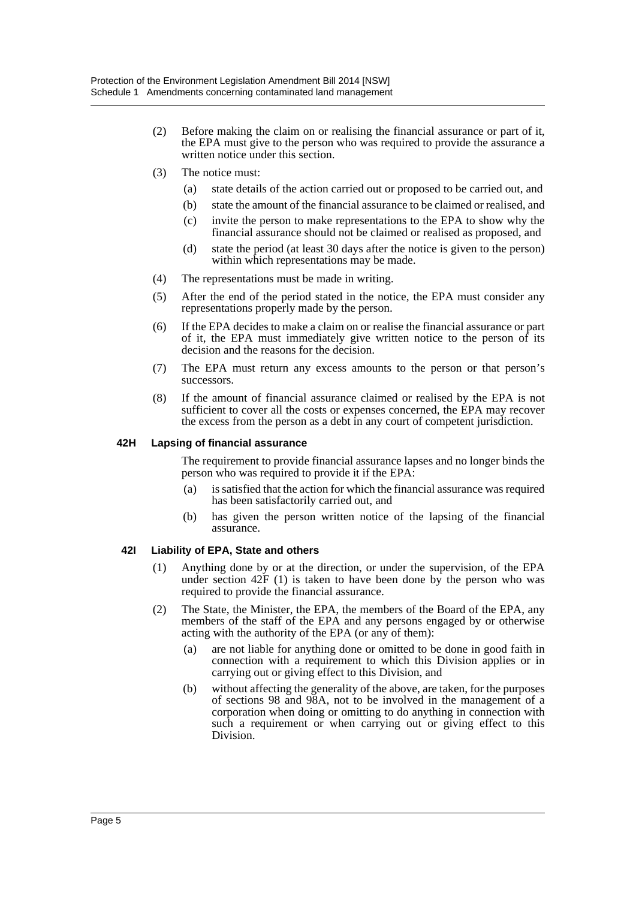- (2) Before making the claim on or realising the financial assurance or part of it, the EPA must give to the person who was required to provide the assurance a written notice under this section.
- (3) The notice must:
	- (a) state details of the action carried out or proposed to be carried out, and
	- (b) state the amount of the financial assurance to be claimed or realised, and
	- (c) invite the person to make representations to the EPA to show why the financial assurance should not be claimed or realised as proposed, and
	- (d) state the period (at least 30 days after the notice is given to the person) within which representations may be made.
- (4) The representations must be made in writing.
- (5) After the end of the period stated in the notice, the EPA must consider any representations properly made by the person.
- (6) If the EPA decides to make a claim on or realise the financial assurance or part of it, the EPA must immediately give written notice to the person of its decision and the reasons for the decision.
- (7) The EPA must return any excess amounts to the person or that person's successors.
- (8) If the amount of financial assurance claimed or realised by the EPA is not sufficient to cover all the costs or expenses concerned, the EPA may recover the excess from the person as a debt in any court of competent jurisdiction.

#### **42H Lapsing of financial assurance**

The requirement to provide financial assurance lapses and no longer binds the person who was required to provide it if the EPA:

- (a) is satisfied that the action for which the financial assurance was required has been satisfactorily carried out, and
- (b) has given the person written notice of the lapsing of the financial assurance.

#### **42I Liability of EPA, State and others**

- (1) Anything done by or at the direction, or under the supervision, of the EPA under section  $42F(1)$  is taken to have been done by the person who was required to provide the financial assurance.
- (2) The State, the Minister, the EPA, the members of the Board of the EPA, any members of the staff of the EPA and any persons engaged by or otherwise acting with the authority of the EPA (or any of them):
	- (a) are not liable for anything done or omitted to be done in good faith in connection with a requirement to which this Division applies or in carrying out or giving effect to this Division, and
	- (b) without affecting the generality of the above, are taken, for the purposes of sections 98 and 98A, not to be involved in the management of a corporation when doing or omitting to do anything in connection with such a requirement or when carrying out or giving effect to this Division.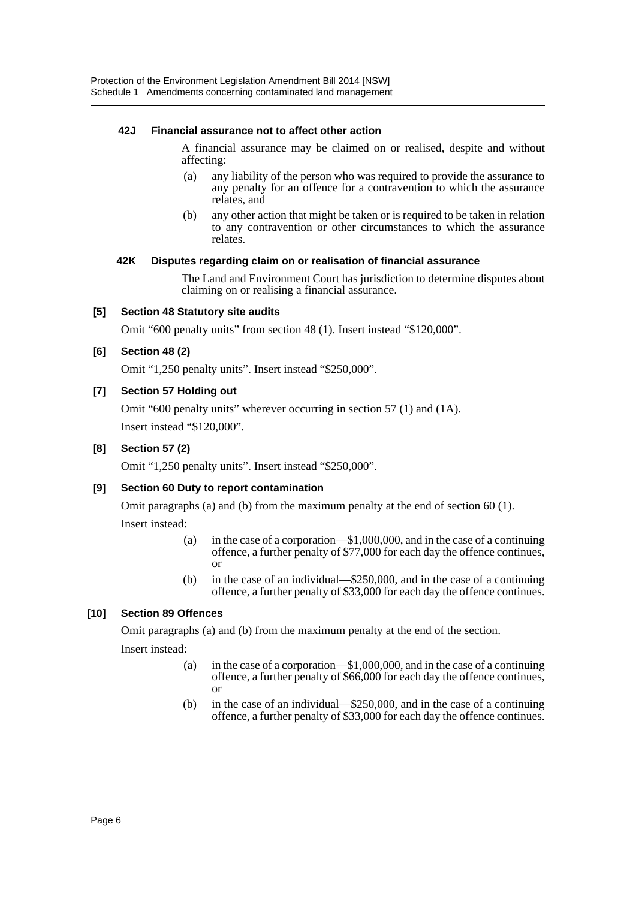### **42J Financial assurance not to affect other action**

A financial assurance may be claimed on or realised, despite and without affecting:

- (a) any liability of the person who was required to provide the assurance to any penalty for an offence for a contravention to which the assurance relates, and
- (b) any other action that might be taken or is required to be taken in relation to any contravention or other circumstances to which the assurance relates.

### **42K Disputes regarding claim on or realisation of financial assurance**

The Land and Environment Court has jurisdiction to determine disputes about claiming on or realising a financial assurance.

### **[5] Section 48 Statutory site audits**

Omit "600 penalty units" from section 48 (1). Insert instead "\$120,000".

### **[6] Section 48 (2)**

Omit "1,250 penalty units". Insert instead "\$250,000".

### **[7] Section 57 Holding out**

Omit "600 penalty units" wherever occurring in section 57 (1) and (1A). Insert instead "\$120,000".

### **[8] Section 57 (2)**

Omit "1,250 penalty units". Insert instead "\$250,000".

### **[9] Section 60 Duty to report contamination**

Omit paragraphs (a) and (b) from the maximum penalty at the end of section 60 (1). Insert instead:

- (a) in the case of a corporation—\$1,000,000, and in the case of a continuing offence, a further penalty of \$77,000 for each day the offence continues, or
- (b) in the case of an individual—\$250,000, and in the case of a continuing offence, a further penalty of \$33,000 for each day the offence continues.

### **[10] Section 89 Offences**

Omit paragraphs (a) and (b) from the maximum penalty at the end of the section.

Insert instead:

- (a) in the case of a corporation—\$1,000,000, and in the case of a continuing offence, a further penalty of \$66,000 for each day the offence continues, or
- (b) in the case of an individual—\$250,000, and in the case of a continuing offence, a further penalty of \$33,000 for each day the offence continues.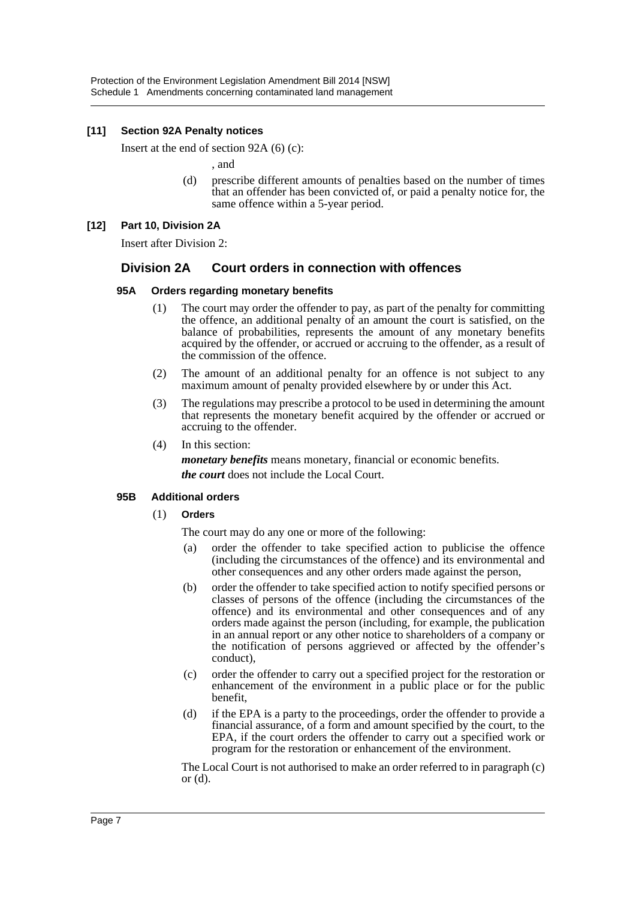### **[11] Section 92A Penalty notices**

Insert at the end of section 92A (6) (c):

, and

(d) prescribe different amounts of penalties based on the number of times that an offender has been convicted of, or paid a penalty notice for, the same offence within a 5-year period.

### **[12] Part 10, Division 2A**

Insert after Division 2:

### **Division 2A Court orders in connection with offences**

### **95A Orders regarding monetary benefits**

- (1) The court may order the offender to pay, as part of the penalty for committing the offence, an additional penalty of an amount the court is satisfied, on the balance of probabilities, represents the amount of any monetary benefits acquired by the offender, or accrued or accruing to the offender, as a result of the commission of the offence.
- (2) The amount of an additional penalty for an offence is not subject to any maximum amount of penalty provided elsewhere by or under this Act.
- (3) The regulations may prescribe a protocol to be used in determining the amount that represents the monetary benefit acquired by the offender or accrued or accruing to the offender.
- (4) In this section:

*monetary benefits* means monetary, financial or economic benefits. *the court* does not include the Local Court.

### **95B Additional orders**

(1) **Orders**

The court may do any one or more of the following:

- (a) order the offender to take specified action to publicise the offence (including the circumstances of the offence) and its environmental and other consequences and any other orders made against the person,
- (b) order the offender to take specified action to notify specified persons or classes of persons of the offence (including the circumstances of the offence) and its environmental and other consequences and of any orders made against the person (including, for example, the publication in an annual report or any other notice to shareholders of a company or the notification of persons aggrieved or affected by the offender's conduct),
- (c) order the offender to carry out a specified project for the restoration or enhancement of the environment in a public place or for the public benefit,
- (d) if the EPA is a party to the proceedings, order the offender to provide a financial assurance, of a form and amount specified by the court, to the EPA, if the court orders the offender to carry out a specified work or program for the restoration or enhancement of the environment.

The Local Court is not authorised to make an order referred to in paragraph (c) or  $(d)$ .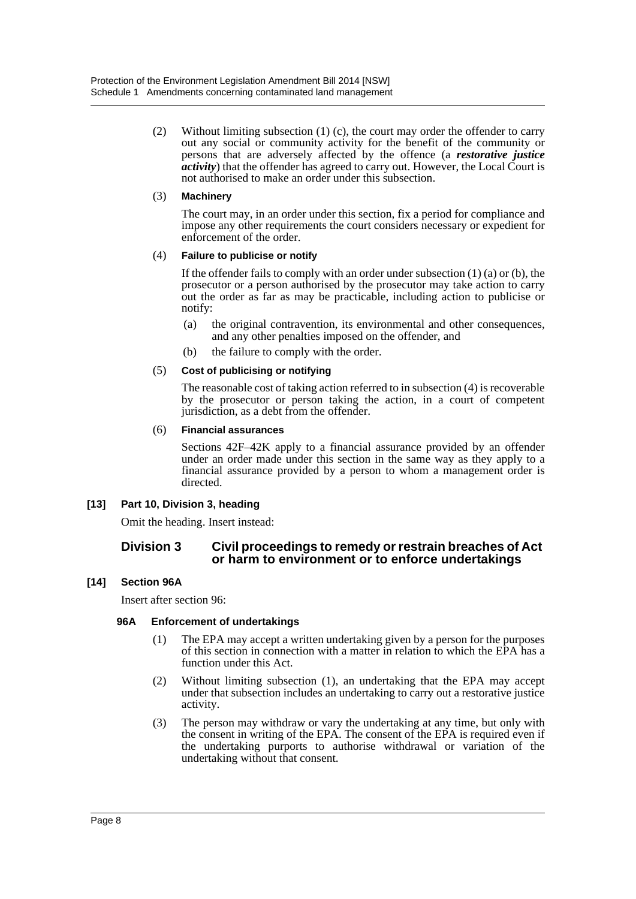(2) Without limiting subsection (1) (c), the court may order the offender to carry out any social or community activity for the benefit of the community or persons that are adversely affected by the offence (a *restorative justice activity*) that the offender has agreed to carry out. However, the Local Court is not authorised to make an order under this subsection.

### (3) **Machinery**

The court may, in an order under this section, fix a period for compliance and impose any other requirements the court considers necessary or expedient for enforcement of the order.

### (4) **Failure to publicise or notify**

If the offender fails to comply with an order under subsection  $(1)$  (a) or (b), the prosecutor or a person authorised by the prosecutor may take action to carry out the order as far as may be practicable, including action to publicise or notify:

- (a) the original contravention, its environmental and other consequences, and any other penalties imposed on the offender, and
- (b) the failure to comply with the order.

### (5) **Cost of publicising or notifying**

The reasonable cost of taking action referred to in subsection (4) is recoverable by the prosecutor or person taking the action, in a court of competent jurisdiction, as a debt from the offender.

### (6) **Financial assurances**

Sections 42F–42K apply to a financial assurance provided by an offender under an order made under this section in the same way as they apply to a financial assurance provided by a person to whom a management order is directed.

### **[13] Part 10, Division 3, heading**

Omit the heading. Insert instead:

### **Division 3 Civil proceedings to remedy or restrain breaches of Act or harm to environment or to enforce undertakings**

### **[14] Section 96A**

Insert after section 96:

### **96A Enforcement of undertakings**

- (1) The EPA may accept a written undertaking given by a person for the purposes of this section in connection with a matter in relation to which the EPA has a function under this Act.
- (2) Without limiting subsection (1), an undertaking that the EPA may accept under that subsection includes an undertaking to carry out a restorative justice activity.
- (3) The person may withdraw or vary the undertaking at any time, but only with the consent in writing of the EPA. The consent of the EPA is required even if the undertaking purports to authorise withdrawal or variation of the undertaking without that consent.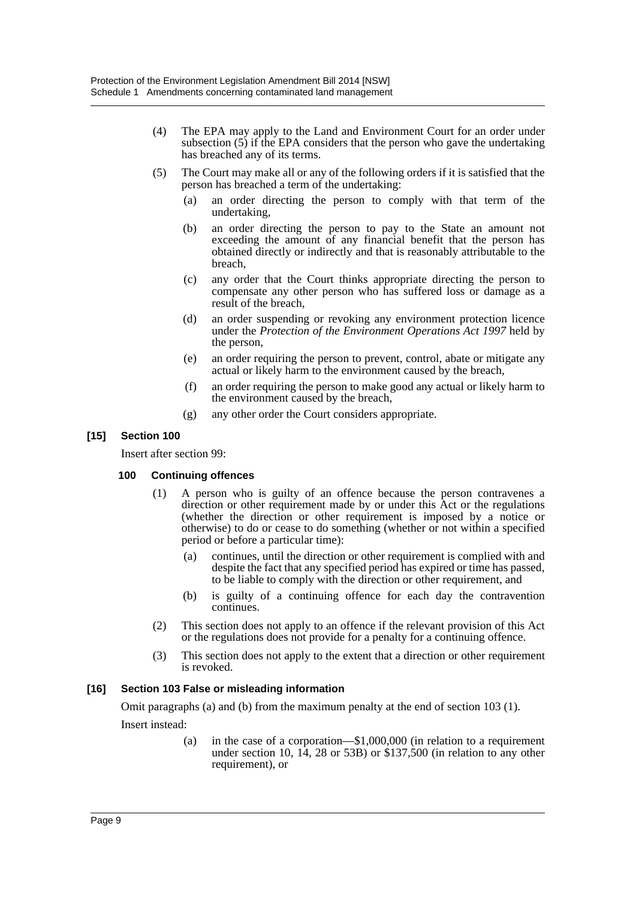- (4) The EPA may apply to the Land and Environment Court for an order under subsection (5) if the EPA considers that the person who gave the undertaking has breached any of its terms.
- (5) The Court may make all or any of the following orders if it is satisfied that the person has breached a term of the undertaking:
	- (a) an order directing the person to comply with that term of the undertaking,
	- (b) an order directing the person to pay to the State an amount not exceeding the amount of any financial benefit that the person has obtained directly or indirectly and that is reasonably attributable to the breach,
	- (c) any order that the Court thinks appropriate directing the person to compensate any other person who has suffered loss or damage as a result of the breach,
	- (d) an order suspending or revoking any environment protection licence under the *Protection of the Environment Operations Act 1997* held by the person,
	- (e) an order requiring the person to prevent, control, abate or mitigate any actual or likely harm to the environment caused by the breach,
	- (f) an order requiring the person to make good any actual or likely harm to the environment caused by the breach,
	- (g) any other order the Court considers appropriate.

### **[15] Section 100**

Insert after section 99:

### **100 Continuing offences**

- (1) A person who is guilty of an offence because the person contravenes a direction or other requirement made by or under this Act or the regulations (whether the direction or other requirement is imposed by a notice or otherwise) to do or cease to do something (whether or not within a specified period or before a particular time):
	- (a) continues, until the direction or other requirement is complied with and despite the fact that any specified period has expired or time has passed, to be liable to comply with the direction or other requirement, and
	- (b) is guilty of a continuing offence for each day the contravention continues.
- (2) This section does not apply to an offence if the relevant provision of this Act or the regulations does not provide for a penalty for a continuing offence.
- (3) This section does not apply to the extent that a direction or other requirement is revoked.

### **[16] Section 103 False or misleading information**

Omit paragraphs (a) and (b) from the maximum penalty at the end of section 103 (1). Insert instead:

> (a) in the case of a corporation—\$1,000,000 (in relation to a requirement under section 10,  $14$ , 28 or 53B) or \$137,500 (in relation to any other requirement), or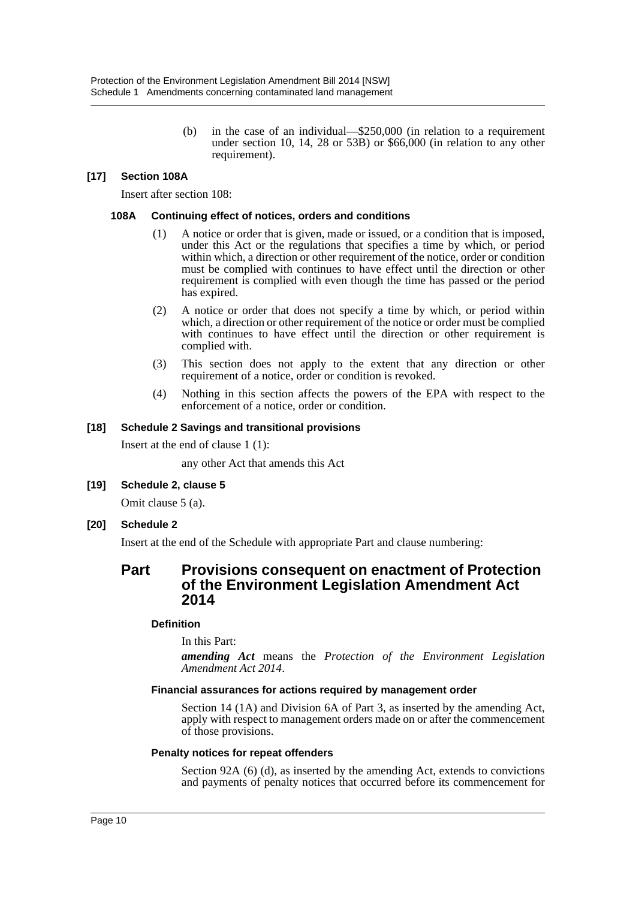(b) in the case of an individual—\$250,000 (in relation to a requirement under section 10, 14, 28 or 53B) or \$66,000 (in relation to any other requirement).

### **[17] Section 108A**

Insert after section 108:

#### **108A Continuing effect of notices, orders and conditions**

- (1) A notice or order that is given, made or issued, or a condition that is imposed, under this Act or the regulations that specifies a time by which, or period within which, a direction or other requirement of the notice, order or condition must be complied with continues to have effect until the direction or other requirement is complied with even though the time has passed or the period has expired.
- (2) A notice or order that does not specify a time by which, or period within which, a direction or other requirement of the notice or order must be complied with continues to have effect until the direction or other requirement is complied with.
- (3) This section does not apply to the extent that any direction or other requirement of a notice, order or condition is revoked.
- (4) Nothing in this section affects the powers of the EPA with respect to the enforcement of a notice, order or condition.

#### **[18] Schedule 2 Savings and transitional provisions**

Insert at the end of clause 1 (1):

any other Act that amends this Act

### **[19] Schedule 2, clause 5**

Omit clause 5 (a).

### **[20] Schedule 2**

Insert at the end of the Schedule with appropriate Part and clause numbering:

### **Part Provisions consequent on enactment of Protection of the Environment Legislation Amendment Act 2014**

### **Definition**

In this Part:

*amending Act* means the *Protection of the Environment Legislation Amendment Act 2014*.

#### **Financial assurances for actions required by management order**

Section 14 (1A) and Division 6A of Part 3, as inserted by the amending Act, apply with respect to management orders made on or after the commencement of those provisions.

#### **Penalty notices for repeat offenders**

Section 92A (6) (d), as inserted by the amending Act, extends to convictions and payments of penalty notices that occurred before its commencement for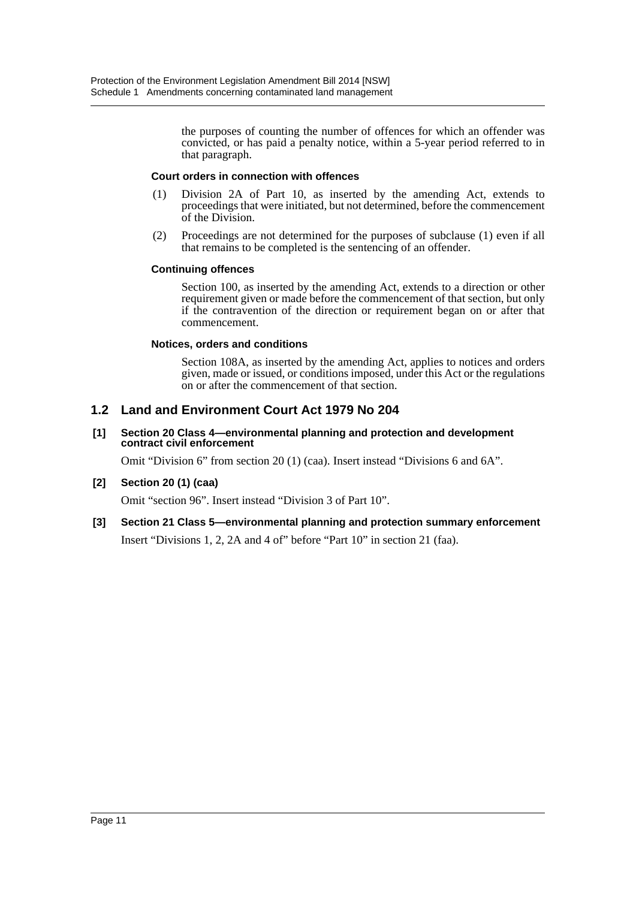the purposes of counting the number of offences for which an offender was convicted, or has paid a penalty notice, within a 5-year period referred to in that paragraph.

### **Court orders in connection with offences**

- (1) Division 2A of Part 10, as inserted by the amending Act, extends to proceedings that were initiated, but not determined, before the commencement of the Division.
- (2) Proceedings are not determined for the purposes of subclause (1) even if all that remains to be completed is the sentencing of an offender.

### **Continuing offences**

Section 100, as inserted by the amending Act, extends to a direction or other requirement given or made before the commencement of that section, but only if the contravention of the direction or requirement began on or after that commencement.

### **Notices, orders and conditions**

Section 108A, as inserted by the amending Act, applies to notices and orders given, made or issued, or conditions imposed, under this Act or the regulations on or after the commencement of that section.

### **1.2 Land and Environment Court Act 1979 No 204**

#### **[1] Section 20 Class 4—environmental planning and protection and development contract civil enforcement**

Omit "Division 6" from section 20 (1) (caa). Insert instead "Divisions 6 and 6A".

### **[2] Section 20 (1) (caa)**

Omit "section 96". Insert instead "Division 3 of Part 10".

### **[3] Section 21 Class 5—environmental planning and protection summary enforcement**

Insert "Divisions 1, 2, 2A and 4 of" before "Part 10" in section 21 (faa).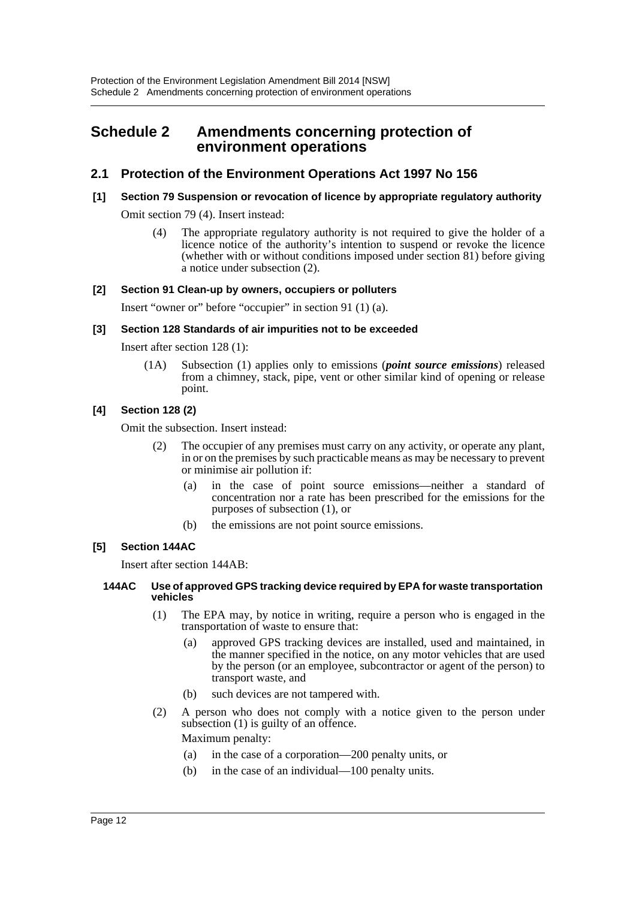## <span id="page-12-0"></span>**Schedule 2 Amendments concerning protection of environment operations**

### **2.1 Protection of the Environment Operations Act 1997 No 156**

### **[1] Section 79 Suspension or revocation of licence by appropriate regulatory authority**

Omit section 79 (4). Insert instead:

(4) The appropriate regulatory authority is not required to give the holder of a licence notice of the authority's intention to suspend or revoke the licence (whether with or without conditions imposed under section 81) before giving a notice under subsection (2).

### **[2] Section 91 Clean-up by owners, occupiers or polluters**

Insert "owner or" before "occupier" in section 91 (1) (a).

### **[3] Section 128 Standards of air impurities not to be exceeded**

Insert after section 128 (1):

(1A) Subsection (1) applies only to emissions (*point source emissions*) released from a chimney, stack, pipe, vent or other similar kind of opening or release point.

### **[4] Section 128 (2)**

Omit the subsection. Insert instead:

- The occupier of any premises must carry on any activity, or operate any plant, in or on the premises by such practicable means as may be necessary to prevent or minimise air pollution if:
	- (a) in the case of point source emissions—neither a standard of concentration nor a rate has been prescribed for the emissions for the purposes of subsection (1), or
	- (b) the emissions are not point source emissions.

### **[5] Section 144AC**

Insert after section 144AB:

#### **144AC Use of approved GPS tracking device required by EPA for waste transportation vehicles**

- (1) The EPA may, by notice in writing, require a person who is engaged in the transportation of waste to ensure that:
	- (a) approved GPS tracking devices are installed, used and maintained, in the manner specified in the notice, on any motor vehicles that are used by the person (or an employee, subcontractor or agent of the person) to transport waste, and
	- (b) such devices are not tampered with.
- (2) A person who does not comply with a notice given to the person under subsection (1) is guilty of an offence.

Maximum penalty:

- (a) in the case of a corporation—200 penalty units, or
- (b) in the case of an individual—100 penalty units.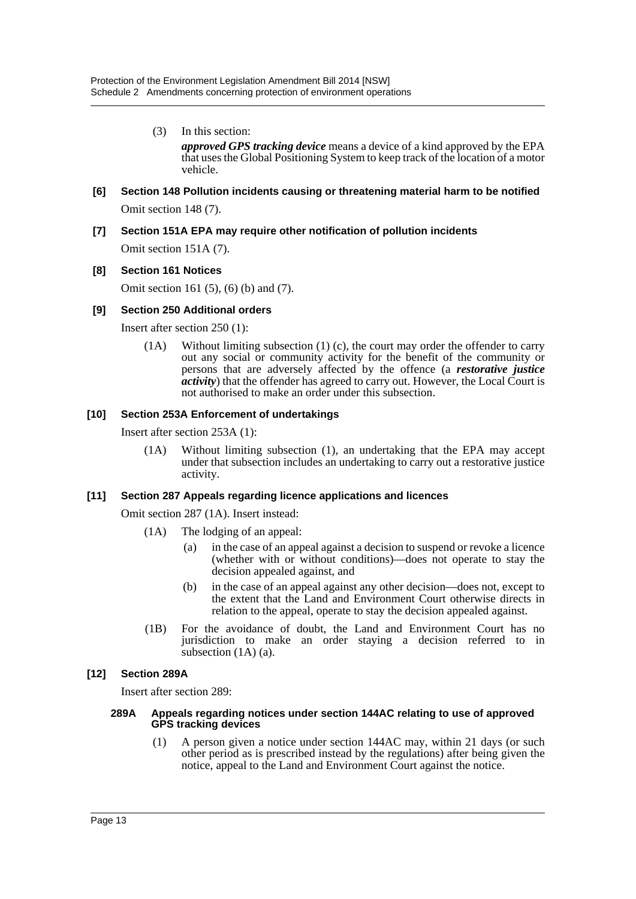- (3) In this section: *approved GPS tracking device* means a device of a kind approved by the EPA that uses the Global Positioning System to keep track of the location of a motor vehicle.
- **[6] Section 148 Pollution incidents causing or threatening material harm to be notified** Omit section 148 (7).
- **[7] Section 151A EPA may require other notification of pollution incidents**

Omit section 151A (7).

### **[8] Section 161 Notices**

Omit section 161 (5), (6) (b) and (7).

### **[9] Section 250 Additional orders**

Insert after section 250 (1):

(1A) Without limiting subsection (1) (c), the court may order the offender to carry out any social or community activity for the benefit of the community or persons that are adversely affected by the offence (a *restorative justice activity*) that the offender has agreed to carry out. However, the Local Court is not authorised to make an order under this subsection.

### **[10] Section 253A Enforcement of undertakings**

Insert after section 253A (1):

(1A) Without limiting subsection (1), an undertaking that the EPA may accept under that subsection includes an undertaking to carry out a restorative justice activity.

### **[11] Section 287 Appeals regarding licence applications and licences**

Omit section 287 (1A). Insert instead:

- (1A) The lodging of an appeal:
	- (a) in the case of an appeal against a decision to suspend or revoke a licence (whether with or without conditions)—does not operate to stay the decision appealed against, and
	- (b) in the case of an appeal against any other decision—does not, except to the extent that the Land and Environment Court otherwise directs in relation to the appeal, operate to stay the decision appealed against.
- (1B) For the avoidance of doubt, the Land and Environment Court has no jurisdiction to make an order staying a decision referred to in subsection (1A) (a).

### **[12] Section 289A**

Insert after section 289:

#### **289A Appeals regarding notices under section 144AC relating to use of approved GPS tracking devices**

(1) A person given a notice under section 144AC may, within 21 days (or such other period as is prescribed instead by the regulations) after being given the notice, appeal to the Land and Environment Court against the notice.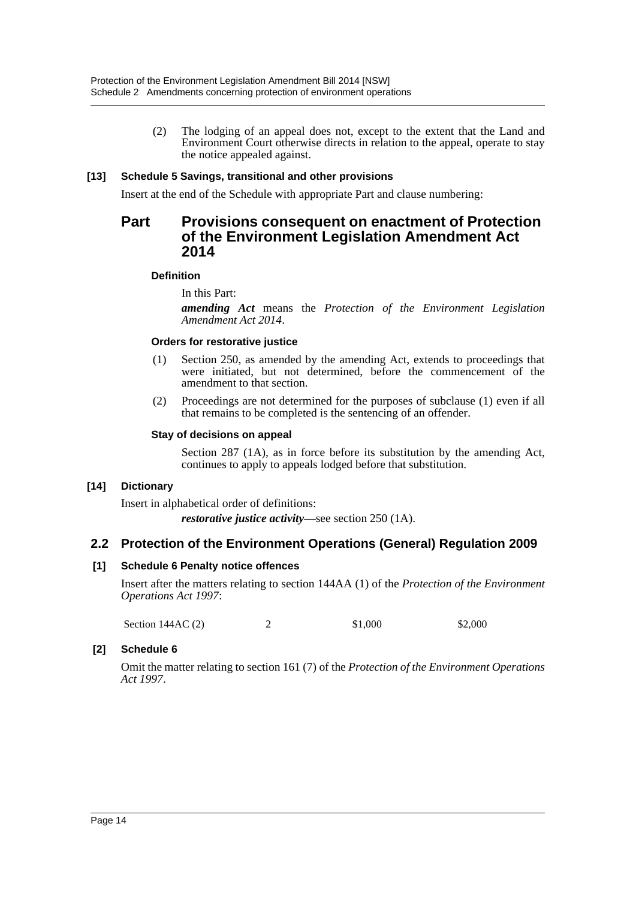(2) The lodging of an appeal does not, except to the extent that the Land and Environment Court otherwise directs in relation to the appeal, operate to stay the notice appealed against.

### **[13] Schedule 5 Savings, transitional and other provisions**

Insert at the end of the Schedule with appropriate Part and clause numbering:

### **Part Provisions consequent on enactment of Protection of the Environment Legislation Amendment Act 2014**

### **Definition**

In this Part:

*amending Act* means the *Protection of the Environment Legislation Amendment Act 2014*.

### **Orders for restorative justice**

- (1) Section 250, as amended by the amending Act, extends to proceedings that were initiated, but not determined, before the commencement of the amendment to that section.
- (2) Proceedings are not determined for the purposes of subclause (1) even if all that remains to be completed is the sentencing of an offender.

### **Stay of decisions on appeal**

Section 287 (1A), as in force before its substitution by the amending Act, continues to apply to appeals lodged before that substitution.

### **[14] Dictionary**

Insert in alphabetical order of definitions:

*restorative justice activity*—see section 250 (1A).

### **2.2 Protection of the Environment Operations (General) Regulation 2009**

### **[1] Schedule 6 Penalty notice offences**

Insert after the matters relating to section 144AA (1) of the *Protection of the Environment Operations Act 1997*:

Section 144AC (2) 2 \$1,000 \$2,000

### **[2] Schedule 6**

Omit the matter relating to section 161 (7) of the *Protection of the Environment Operations Act 1997*.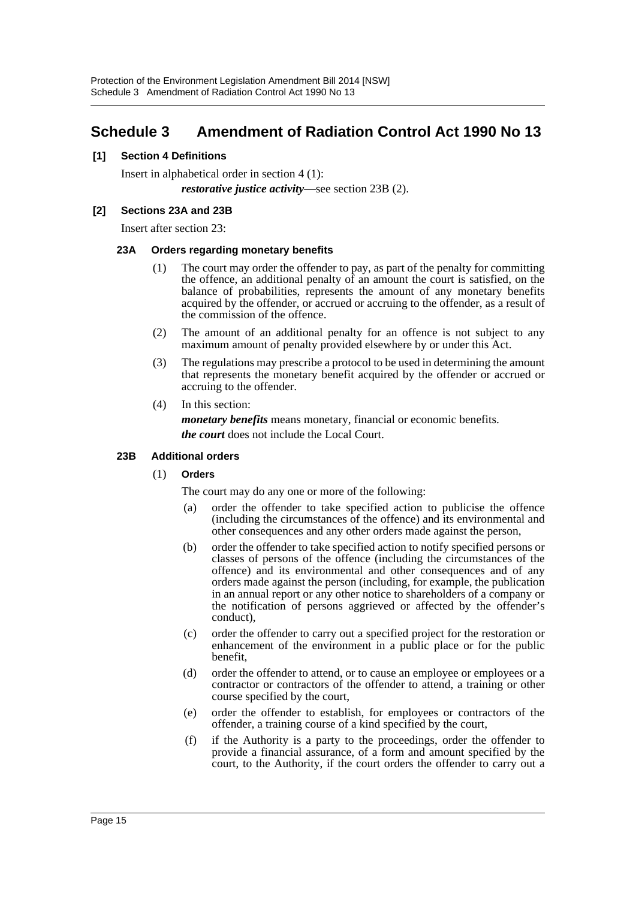# <span id="page-15-0"></span>**Schedule 3 Amendment of Radiation Control Act 1990 No 13**

### **[1] Section 4 Definitions**

Insert in alphabetical order in section 4 (1): *restorative justice activity*—see section 23B (2).

### **[2] Sections 23A and 23B**

Insert after section 23:

### **23A Orders regarding monetary benefits**

- (1) The court may order the offender to pay, as part of the penalty for committing the offence, an additional penalty of an amount the court is satisfied, on the balance of probabilities, represents the amount of any monetary benefits acquired by the offender, or accrued or accruing to the offender, as a result of the commission of the offence.
- (2) The amount of an additional penalty for an offence is not subject to any maximum amount of penalty provided elsewhere by or under this Act.
- (3) The regulations may prescribe a protocol to be used in determining the amount that represents the monetary benefit acquired by the offender or accrued or accruing to the offender.
- (4) In this section:

*monetary benefits* means monetary, financial or economic benefits. *the court* does not include the Local Court.

### **23B Additional orders**

(1) **Orders**

The court may do any one or more of the following:

- (a) order the offender to take specified action to publicise the offence (including the circumstances of the offence) and its environmental and other consequences and any other orders made against the person,
- (b) order the offender to take specified action to notify specified persons or classes of persons of the offence (including the circumstances of the offence) and its environmental and other consequences and of any orders made against the person (including, for example, the publication in an annual report or any other notice to shareholders of a company or the notification of persons aggrieved or affected by the offender's conduct),
- (c) order the offender to carry out a specified project for the restoration or enhancement of the environment in a public place or for the public benefit,
- (d) order the offender to attend, or to cause an employee or employees or a contractor or contractors of the offender to attend, a training or other course specified by the court,
- (e) order the offender to establish, for employees or contractors of the offender, a training course of a kind specified by the court,
- (f) if the Authority is a party to the proceedings, order the offender to provide a financial assurance, of a form and amount specified by the court, to the Authority, if the court orders the offender to carry out a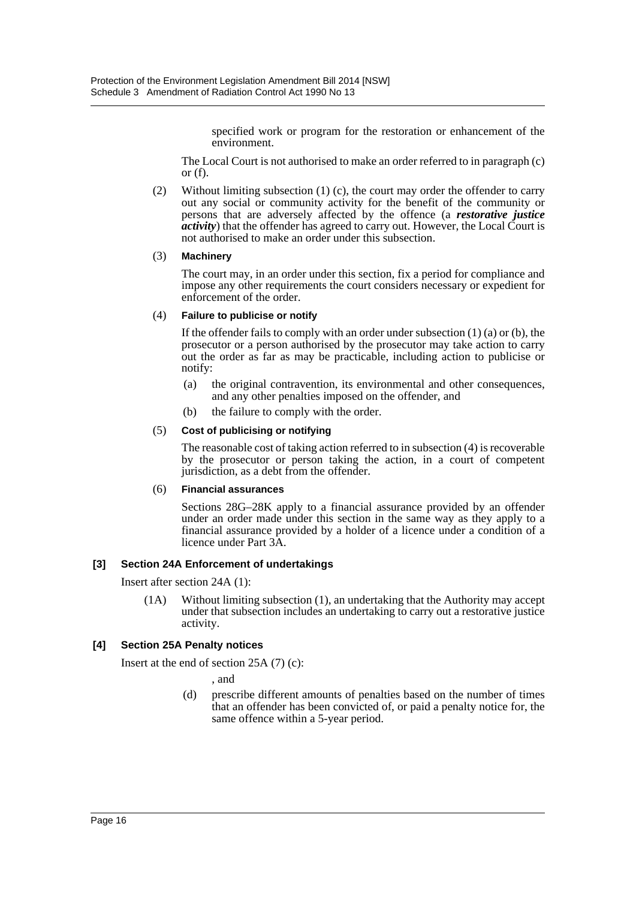specified work or program for the restoration or enhancement of the environment.

The Local Court is not authorised to make an order referred to in paragraph (c) or  $(f)$ .

(2) Without limiting subsection (1) (c), the court may order the offender to carry out any social or community activity for the benefit of the community or persons that are adversely affected by the offence (a *restorative justice activity*) that the offender has agreed to carry out. However, the Local Court is not authorised to make an order under this subsection.

#### (3) **Machinery**

The court may, in an order under this section, fix a period for compliance and impose any other requirements the court considers necessary or expedient for enforcement of the order.

### (4) **Failure to publicise or notify**

If the offender fails to comply with an order under subsection  $(1)$   $(a)$  or  $(b)$ , the prosecutor or a person authorised by the prosecutor may take action to carry out the order as far as may be practicable, including action to publicise or notify:

- (a) the original contravention, its environmental and other consequences, and any other penalties imposed on the offender, and
- (b) the failure to comply with the order.

#### (5) **Cost of publicising or notifying**

The reasonable cost of taking action referred to in subsection (4) is recoverable by the prosecutor or person taking the action, in a court of competent jurisdiction, as a debt from the offender.

### (6) **Financial assurances**

Sections 28G–28K apply to a financial assurance provided by an offender under an order made under this section in the same way as they apply to a financial assurance provided by a holder of a licence under a condition of a licence under Part 3A.

### **[3] Section 24A Enforcement of undertakings**

Insert after section 24A (1):

(1A) Without limiting subsection (1), an undertaking that the Authority may accept under that subsection includes an undertaking to carry out a restorative justice activity.

### **[4] Section 25A Penalty notices**

Insert at the end of section 25A (7) (c):

, and

(d) prescribe different amounts of penalties based on the number of times that an offender has been convicted of, or paid a penalty notice for, the same offence within a 5-year period.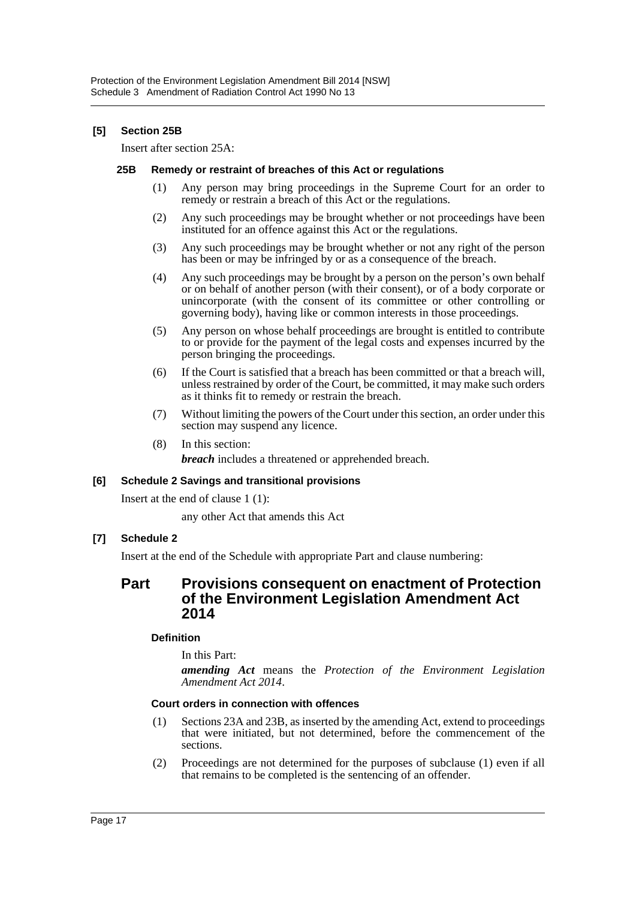### **[5] Section 25B**

Insert after section 25A:

#### **25B Remedy or restraint of breaches of this Act or regulations**

- (1) Any person may bring proceedings in the Supreme Court for an order to remedy or restrain a breach of this Act or the regulations.
- (2) Any such proceedings may be brought whether or not proceedings have been instituted for an offence against this Act or the regulations.
- (3) Any such proceedings may be brought whether or not any right of the person has been or may be infringed by or as a consequence of the breach.
- (4) Any such proceedings may be brought by a person on the person's own behalf or on behalf of another person (with their consent), or of a body corporate or unincorporate (with the consent of its committee or other controlling or governing body), having like or common interests in those proceedings.
- (5) Any person on whose behalf proceedings are brought is entitled to contribute to or provide for the payment of the legal costs and expenses incurred by the person bringing the proceedings.
- (6) If the Court is satisfied that a breach has been committed or that a breach will, unless restrained by order of the Court, be committed, it may make such orders as it thinks fit to remedy or restrain the breach.
- (7) Without limiting the powers of the Court under this section, an order under this section may suspend any licence.
- (8) In this section:

*breach* includes a threatened or apprehended breach.

### **[6] Schedule 2 Savings and transitional provisions**

Insert at the end of clause 1 (1):

any other Act that amends this Act

### **[7] Schedule 2**

Insert at the end of the Schedule with appropriate Part and clause numbering:

### **Part Provisions consequent on enactment of Protection of the Environment Legislation Amendment Act 2014**

### **Definition**

In this Part:

*amending Act* means the *Protection of the Environment Legislation Amendment Act 2014*.

### **Court orders in connection with offences**

- (1) Sections 23A and 23B, as inserted by the amending Act, extend to proceedings that were initiated, but not determined, before the commencement of the sections.
- (2) Proceedings are not determined for the purposes of subclause (1) even if all that remains to be completed is the sentencing of an offender.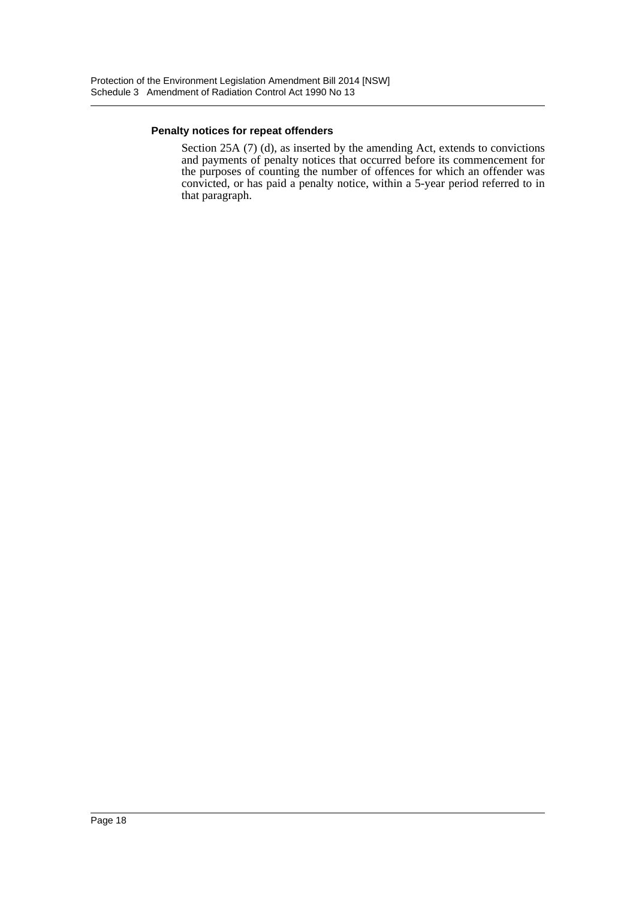### **Penalty notices for repeat offenders**

Section 25A (7) (d), as inserted by the amending Act, extends to convictions and payments of penalty notices that occurred before its commencement for the purposes of counting the number of offences for which an offender was convicted, or has paid a penalty notice, within a 5-year period referred to in that paragraph.